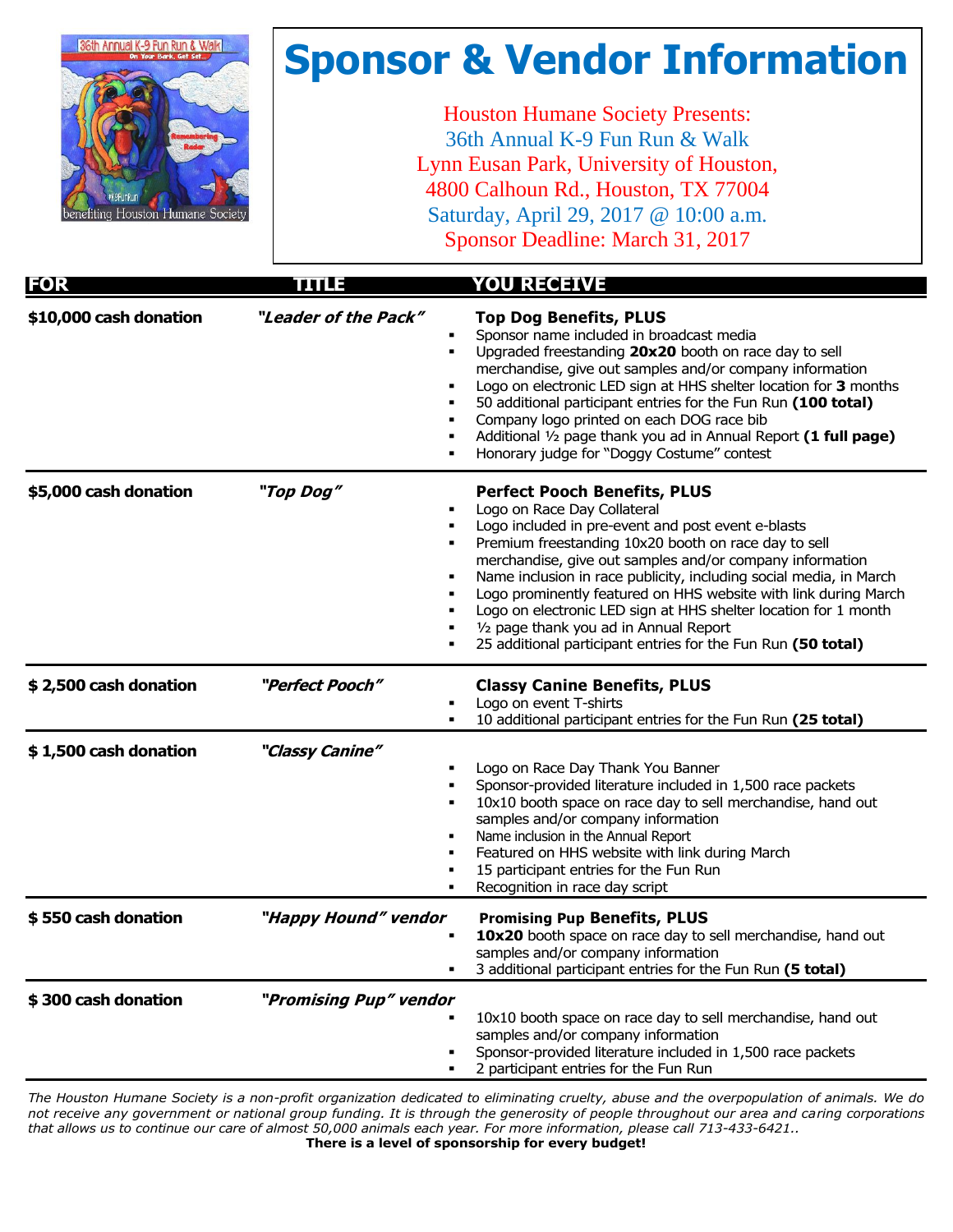

# **Sponsor & Vendor Information**

Houston Humane Society Presents: 36th Annual K-9 Fun Run & Walk Lynn Eusan Park, University of Houston, 4800 Calhoun Rd., Houston, TX 77004 Saturday, April 29, 2017 @ 10:00 a.m. Sponsor Deadline: March 31, 2017

| <b>FOR</b>             | <u>TIJLE</u>           | <b>YOU RECEIVE</b>                                                                                                                                                                                                                                                                                                                                                                                                                                                                                                                                                                                                                 |
|------------------------|------------------------|------------------------------------------------------------------------------------------------------------------------------------------------------------------------------------------------------------------------------------------------------------------------------------------------------------------------------------------------------------------------------------------------------------------------------------------------------------------------------------------------------------------------------------------------------------------------------------------------------------------------------------|
| \$10,000 cash donation | "Leader of the Pack"   | <b>Top Dog Benefits, PLUS</b><br>Sponsor name included in broadcast media<br>٠<br>Upgraded freestanding 20x20 booth on race day to sell<br>٠<br>merchandise, give out samples and/or company information<br>Logo on electronic LED sign at HHS shelter location for 3 months<br>50 additional participant entries for the Fun Run (100 total)<br>$\blacksquare$<br>Company logo printed on each DOG race bib<br>٠<br>Additional 1/2 page thank you ad in Annual Report (1 full page)<br>٠<br>Honorary judge for "Doggy Costume" contest                                                                                            |
| \$5,000 cash donation  | "Top Dog"              | <b>Perfect Pooch Benefits, PLUS</b><br>Logo on Race Day Collateral<br>٠<br>Logo included in pre-event and post event e-blasts<br>Premium freestanding 10x20 booth on race day to sell<br>$\blacksquare$<br>merchandise, give out samples and/or company information<br>Name inclusion in race publicity, including social media, in March<br>٠<br>Logo prominently featured on HHS website with link during March<br>$\blacksquare$<br>Logo on electronic LED sign at HHS shelter location for 1 month<br>$\blacksquare$<br>1/2 page thank you ad in Annual Report<br>25 additional participant entries for the Fun Run (50 total) |
| \$2,500 cash donation  | "Perfect Pooch"        | <b>Classy Canine Benefits, PLUS</b><br>Logo on event T-shirts<br>10 additional participant entries for the Fun Run (25 total)                                                                                                                                                                                                                                                                                                                                                                                                                                                                                                      |
| \$1,500 cash donation  | "Classy Canine"        | Logo on Race Day Thank You Banner<br>Sponsor-provided literature included in 1,500 race packets<br>10x10 booth space on race day to sell merchandise, hand out<br>٠<br>samples and/or company information<br>Name inclusion in the Annual Report<br>٠<br>Featured on HHS website with link during March<br>15 participant entries for the Fun Run<br>Recognition in race day script                                                                                                                                                                                                                                                |
| \$550 cash donation    | "Happy Hound" vendor   | <b>Promising Pup Benefits, PLUS</b><br>10x20 booth space on race day to sell merchandise, hand out<br>samples and/or company information<br>3 additional participant entries for the Fun Run (5 total)                                                                                                                                                                                                                                                                                                                                                                                                                             |
| \$300 cash donation    | "Promising Pup" vendor | 10x10 booth space on race day to sell merchandise, hand out<br>samples and/or company information<br>Sponsor-provided literature included in 1,500 race packets<br>2 participant entries for the Fun Run                                                                                                                                                                                                                                                                                                                                                                                                                           |

*The Houston Humane Society is a non-profit organization dedicated to eliminating cruelty, abuse and the overpopulation of animals. We do not receive any government or national group funding. It is through the generosity of people throughout our area and caring corporations that allows us to continue our care of almost 50,000 animals each year. For more information, please call 713-433-6421..* **There is a level of sponsorship for every budget!**